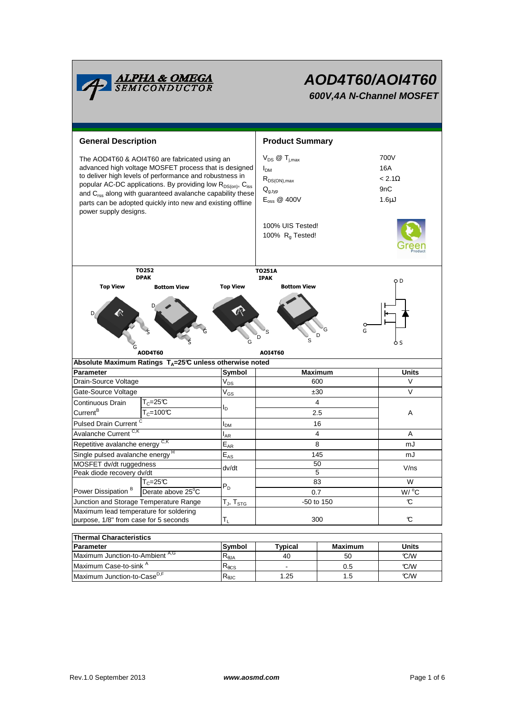

# **AOD4T60/AOI4T60 600V,4A N-Channel MOSFET**

| <b>General Description</b>                                                                                                                                                                                                                                                                                                                                                                                               |                                                                     |                                | <b>Product Summary</b>                                                                                                                            |                                                                |              |  |  |
|--------------------------------------------------------------------------------------------------------------------------------------------------------------------------------------------------------------------------------------------------------------------------------------------------------------------------------------------------------------------------------------------------------------------------|---------------------------------------------------------------------|--------------------------------|---------------------------------------------------------------------------------------------------------------------------------------------------|----------------------------------------------------------------|--------------|--|--|
| The AOD4T60 & AOI4T60 are fabricated using an<br>advanced high voltage MOSFET process that is designed<br>to deliver high levels of performance and robustness in<br>popular AC-DC applications. By providing low R <sub>DS(on)</sub> , C <sub>iss</sub><br>and C <sub>rss</sub> along with guaranteed avalanche capability these<br>parts can be adopted quickly into new and existing offline<br>power supply designs. |                                                                     |                                | $V_{DS}$ @ $T_{j,max}$<br>I <sub>DM</sub><br>$R_{DS(ON),max}$<br>$Q_{g,typ}$<br>$E_{\text{oss}}$ @ 400V<br>100% UIS Tested!<br>100% $R_q$ Tested! | 700V<br>16A<br>$< 2.1\Omega$<br>9 <sub>n</sub> C<br>$1.6\mu$ J |              |  |  |
|                                                                                                                                                                                                                                                                                                                                                                                                                          | T0252                                                               |                                | <b>TO251A</b>                                                                                                                                     |                                                                |              |  |  |
| <b>DPAK</b><br><b>Top View</b><br><b>Bottom View</b>                                                                                                                                                                                                                                                                                                                                                                     |                                                                     | <b>Top View</b>                | <b>IPAK</b><br><b>Bottom View</b>                                                                                                                 | o D                                                            |              |  |  |
|                                                                                                                                                                                                                                                                                                                                                                                                                          | <b>AOD4T60</b>                                                      | G                              | D<br><b>AOI4T60</b>                                                                                                                               | G<br>G<br>D                                                    | 6 S          |  |  |
|                                                                                                                                                                                                                                                                                                                                                                                                                          | Absolute Maximum Ratings T <sub>4</sub> =25℃ unless otherwise noted |                                |                                                                                                                                                   |                                                                |              |  |  |
| <b>Parameter</b>                                                                                                                                                                                                                                                                                                                                                                                                         |                                                                     | Symbol                         | <b>Maximum</b>                                                                                                                                    |                                                                | <b>Units</b> |  |  |
| Drain-Source Voltage                                                                                                                                                                                                                                                                                                                                                                                                     |                                                                     | $V_{DS}$                       | 600                                                                                                                                               |                                                                | V            |  |  |
| Gate-Source Voltage                                                                                                                                                                                                                                                                                                                                                                                                      |                                                                     | $V_{GS}$                       | ±30                                                                                                                                               |                                                                | V            |  |  |
| Continuous Drain                                                                                                                                                                                                                                                                                                                                                                                                         | $T_c = 25C$                                                         | ΙD                             | 4                                                                                                                                                 |                                                                |              |  |  |
| Current <sup>B</sup>                                                                                                                                                                                                                                                                                                                                                                                                     | $T_c = 100C$                                                        |                                | 2.5                                                                                                                                               | Α                                                              |              |  |  |
| <b>Pulsed Drain Current</b>                                                                                                                                                                                                                                                                                                                                                                                              |                                                                     | I <sub>DM</sub>                | 16                                                                                                                                                |                                                                |              |  |  |
| Avalanche Current <sup>C,K</sup>                                                                                                                                                                                                                                                                                                                                                                                         |                                                                     | AR                             | 4                                                                                                                                                 |                                                                | A            |  |  |
| Repetitive avalanche energy CK                                                                                                                                                                                                                                                                                                                                                                                           |                                                                     | $\mathsf{E}_{\mathsf{AR}}$     | 8                                                                                                                                                 |                                                                | mJ           |  |  |
| Single pulsed avalanche energy <sup>H</sup>                                                                                                                                                                                                                                                                                                                                                                              |                                                                     | $E_{AS}$                       | 145                                                                                                                                               |                                                                | mJ           |  |  |
| MOSFET dv/dt ruggedness                                                                                                                                                                                                                                                                                                                                                                                                  |                                                                     | dv/dt                          | 50                                                                                                                                                |                                                                | V/ns         |  |  |
| Peak diode recovery dv/dt                                                                                                                                                                                                                                                                                                                                                                                                |                                                                     |                                | 5                                                                                                                                                 |                                                                | W            |  |  |
| Power Dissipation <sup>B</sup>                                                                                                                                                                                                                                                                                                                                                                                           | $T_c = 25C$<br>Derate above 25°C                                    | $P_D$                          |                                                                                                                                                   | 83                                                             |              |  |  |
|                                                                                                                                                                                                                                                                                                                                                                                                                          |                                                                     | $T_{J}$ , $T_{STG}$            | 0.7<br>$-50$ to 150                                                                                                                               |                                                                | W/ °C<br>C   |  |  |
| Junction and Storage Temperature Range<br>Maximum lead temperature for soldering                                                                                                                                                                                                                                                                                                                                         |                                                                     |                                |                                                                                                                                                   |                                                                |              |  |  |
| purpose, 1/8" from case for 5 seconds                                                                                                                                                                                                                                                                                                                                                                                    |                                                                     | $T_L$                          |                                                                                                                                                   | 300                                                            | C            |  |  |
|                                                                                                                                                                                                                                                                                                                                                                                                                          |                                                                     |                                |                                                                                                                                                   |                                                                |              |  |  |
| <b>Thermal Characteristics</b>                                                                                                                                                                                                                                                                                                                                                                                           |                                                                     |                                |                                                                                                                                                   |                                                                |              |  |  |
| <b>Parameter</b>                                                                                                                                                                                                                                                                                                                                                                                                         |                                                                     | Symbol                         | <b>Typical</b>                                                                                                                                    | <b>Maximum</b>                                                 | <b>Units</b> |  |  |
| Maximum Junction-to-Ambient A,G                                                                                                                                                                                                                                                                                                                                                                                          |                                                                     | $R_{\theta$ JA                 | 40                                                                                                                                                | 50                                                             | °C/W         |  |  |
| Maximum Case-to-sink A                                                                                                                                                                                                                                                                                                                                                                                                   |                                                                     | $\mathsf{R}_{\theta\text{CS}}$ |                                                                                                                                                   | 0.5                                                            | °C/W         |  |  |
| Maximum Junction-to-Case <sup>D,F</sup>                                                                                                                                                                                                                                                                                                                                                                                  |                                                                     | $\mathsf{R}_{\theta\text{JC}}$ | 1.25                                                                                                                                              | 1.5                                                            | C/W          |  |  |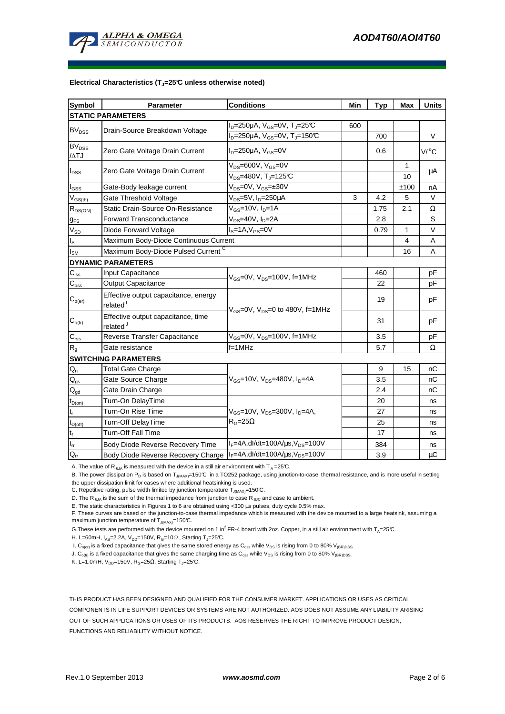

#### **Electrical Characteristics (TJ=25°C unless otherwise noted)**

| <b>Symbol</b>                          | <b>Parameter</b>                                             | <b>Conditions</b>                                                     |     | <b>Typ</b> | Max          | <b>Units</b>        |  |  |  |  |
|----------------------------------------|--------------------------------------------------------------|-----------------------------------------------------------------------|-----|------------|--------------|---------------------|--|--|--|--|
| <b>STATIC PARAMETERS</b>               |                                                              |                                                                       |     |            |              |                     |  |  |  |  |
| <b>BV<sub>DSS</sub></b>                | Drain-Source Breakdown Voltage                               | $I_D = 250 \mu A$ , $V_{GS} = 0V$ , $T_J = 25 \text{C}$               | 600 |            |              |                     |  |  |  |  |
|                                        |                                                              | $I_D = 250 \mu A$ , V <sub>GS</sub> =0V, T <sub>J</sub> =150℃         |     | 700        |              | V                   |  |  |  |  |
| <b>BV<sub>DSS</sub></b><br>/ATJ        | Zero Gate Voltage Drain Current                              | $I_D = 250 \mu A$ , $V_{GS} = 0V$                                     |     | 0.6        |              | $V/$ <sup>o</sup> C |  |  |  |  |
| $I_{\text{DSS}}$                       | Zero Gate Voltage Drain Current                              | $V_{DS}$ =600V, $V_{GS}$ =0V<br>$V_{DS}$ =480V, T <sub>J</sub> =125°C |     |            | 1<br>10      | μA                  |  |  |  |  |
| $I_{GSS}$                              | Gate-Body leakage current                                    | $V_{DS} = 0V$ , $V_{GS} = \pm 30V$                                    |     |            | ±100         | nA                  |  |  |  |  |
| $V_{GS(th)}$                           | Gate Threshold Voltage                                       | V <sub>DS</sub> =5V, I <sub>D</sub> =250µA                            | 3   | 4.2        | 5            | V                   |  |  |  |  |
| $R_{DS(ON)}$                           | Static Drain-Source On-Resistance                            | V <sub>GS</sub> =10V, I <sub>D</sub> =1A                              |     | 1.75       | 2.1          | Ω                   |  |  |  |  |
| $g_{FS}$                               | Forward Transconductance                                     | $V_{DS}$ =40V, $I_D$ =2A                                              |     | 2.8        |              | S                   |  |  |  |  |
| $\rm V_{SD}$                           | Diode Forward Voltage                                        | $IS=1A, VGS=0V$                                                       |     | 0.79       | $\mathbf{1}$ | $\vee$              |  |  |  |  |
| $I_{\rm S}$                            | Maximum Body-Diode Continuous Current                        |                                                                       |     |            | 4            | Α                   |  |  |  |  |
| $I_{\rm SM}$                           | Maximum Body-Diode Pulsed Current C                          |                                                                       |     |            | 16           | A                   |  |  |  |  |
|                                        | <b>DYNAMIC PARAMETERS</b>                                    |                                                                       |     |            |              |                     |  |  |  |  |
| $C_{\text{iss}}$                       | Input Capacitance                                            | $V_{GS}$ =0V, $V_{DS}$ =100V, f=1MHz                                  |     | 460        |              | pF                  |  |  |  |  |
| $C_{\underline{\text{oss}}}$           | <b>Output Capacitance</b>                                    |                                                                       |     | 22         |              | рF                  |  |  |  |  |
| $C_{o(er)}$                            | Effective output capacitance, energy<br>related <sup>1</sup> | $V_{GS}$ =0V, $V_{DS}$ =0 to 480V, f=1MHz                             |     | 19         |              | pF                  |  |  |  |  |
| $\mathbf{C}_{o(tr)}$                   | Effective output capacitance, time<br>related <sup>J</sup>   |                                                                       |     | 31         |              | рF                  |  |  |  |  |
| $\mathsf{C}_{\mathsf{rss}}$            | Reverse Transfer Capacitance                                 | $V_{GS}$ =0V, $V_{DS}$ =100V, f=1MHz                                  |     | 3.5        |              | рF                  |  |  |  |  |
| R <sub>g</sub>                         | Gate resistance                                              | $f = 1$ MHz                                                           |     | 5.7        |              | Ω                   |  |  |  |  |
| <b>SWITCHING PARAMETERS</b>            |                                                              |                                                                       |     |            |              |                     |  |  |  |  |
| $\mathsf{Q}_{\mathsf{g}}$              | <b>Total Gate Charge</b>                                     |                                                                       |     | 9          | 15           | nС                  |  |  |  |  |
| $\mathsf{Q}_{\text{gs}}$               | Gate Source Charge                                           | $V_{GS}$ =10V, $V_{DS}$ =480V, $I_{D}$ =4A                            |     | 3.5        |              | nС                  |  |  |  |  |
| $\mathsf{Q}_{\underline{\mathsf{gd}}}$ | Gate Drain Charge                                            |                                                                       |     | 2.4        |              | nC                  |  |  |  |  |
| $t_{D(on)}$                            | Turn-On DelayTime                                            |                                                                       |     | 20         |              | ns                  |  |  |  |  |
| $\mathsf{t}_{\mathsf{r}}$              | Turn-On Rise Time                                            | $V_{GS}$ =10V, $V_{DS}$ =300V, $I_{D}$ =4A,                           |     | 27         |              | ns                  |  |  |  |  |
| $t_{D(off)}$                           | <b>Turn-Off DelayTime</b>                                    | $R_G = 25\Omega$                                                      |     | 25         |              | ns                  |  |  |  |  |
| $\mathbf{t}_\text{f}$                  | <b>Turn-Off Fall Time</b>                                    |                                                                       |     | 17         |              | ns                  |  |  |  |  |
| $\mathfrak{t}_{\text{rr}}$             | Body Diode Reverse Recovery Time                             | $I_F = 4A$ , dl/dt=100A/ $\mu$ s, V <sub>DS</sub> =100V               |     | 384        |              | ns                  |  |  |  |  |
| $Q_{rr}$                               | Body Diode Reverse Recovery Charge                           | $I_F = 4A$ , dl/dt=100A/ $\mu$ s, V <sub>DS</sub> =100V               |     | 3.9        |              | $\mu$ C             |  |  |  |  |

A. The value of R<sub>BJA</sub> is measured with the device in a still air environment with T<sub>A</sub> = 25°C.

B. The power dissipation P<sub>D</sub> is based on T<sub>J(MAX)</sub>=150°C in a TO252 package, using junction-to-case thermal resistance, and is more useful in setting the upper dissipation limit for cases where additional heatsinking is used.

C. Repetitive rating, pulse width limited by junction temperature  $T_{J(MAX)}$ =150°C.

D. The R<sub> $\theta$ JA</sub> is the sum of the thermal impedance from junction to case R  $_{\theta$ JC and case to ambient.

E. The static characteristics in Figures 1 to 6 are obtained using <300 µs pulses, duty cycle 0.5% max.

F. These curves are based on the junction-to-case thermal impedance which is measured with the device mounted to a large heatsink, assuming a maximum junction temperature of  $T_{J(MAX)}$ =150°C.

G. These tests are performed with the device mounted on 1 in<sup>2</sup>FR-4 board with 2oz. Copper, in a still air environment with T<sub>A</sub>=25°C.

H. L=60mH,  $I_{AS}$ =2.2A,  $V_{DD}$ =150V, R<sub>G</sub>=10 $\Omega$ , Starting T<sub>J</sub>=25°C.

I.  $C_{o(er)}$  is a fixed capacitance that gives the same stored energy as  $C_{oss}$  while  $V_{DS}$  is rising from 0 to 80%  $V_{(BR)DSS}$ .

J.  $C_{O(t)}$  is a fixed capacitance that gives the same charging time as  $C_{oss}$  while  $V_{DS}$  is rising from 0 to 80%  $V_{(BR)DSS}$ .

K. L=1.0mH,  $V_{DD}$ =150V, R<sub>G</sub>=25Ω, Starting T<sub>J</sub>=25℃.

THIS PRODUCT HAS BEEN DESIGNED AND QUALIFIED FOR THE CONSUMER MARKET. APPLICATIONS OR USES AS CRITICAL COMPONENTS IN LIFE SUPPORT DEVICES OR SYSTEMS ARE NOT AUTHORIZED. AOS DOES NOT ASSUME ANY LIABILITY ARISING OUT OF SUCH APPLICATIONS OR USES OF ITS PRODUCTS. AOS RESERVES THE RIGHT TO IMPROVE PRODUCT DESIGN, FUNCTIONS AND RELIABILITY WITHOUT NOTICE.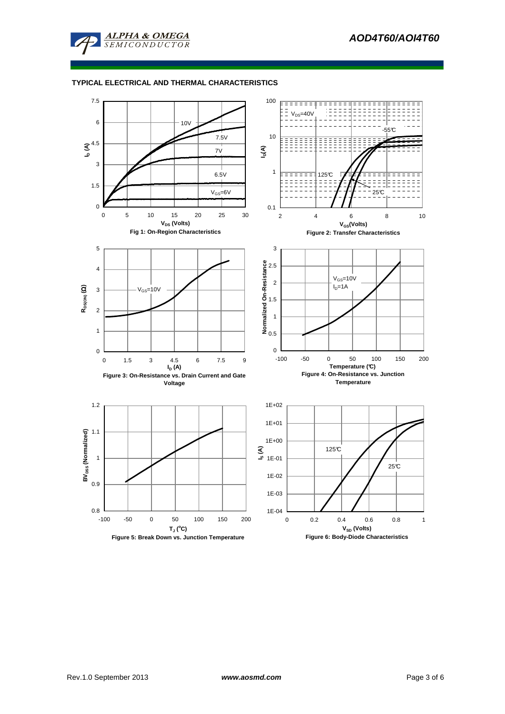

## **TYPICAL ELECTRICAL AND THERMAL CHARACTERISTICS**

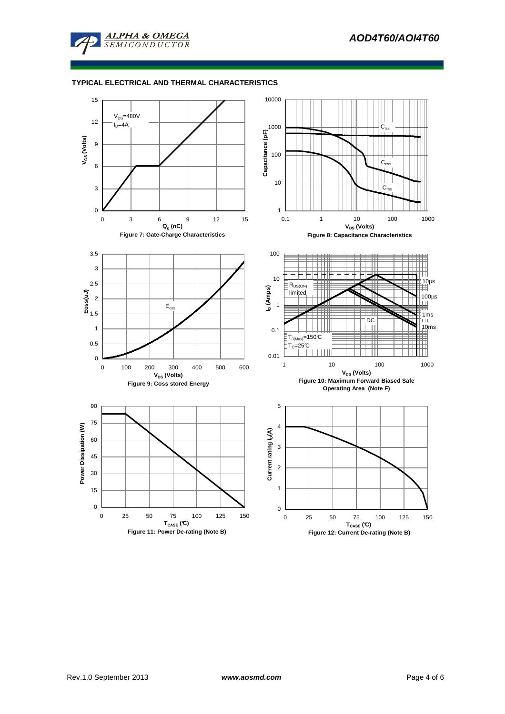

## **TYPICAL ELECTRICAL AND THERMAL CHARACTERISTICS**

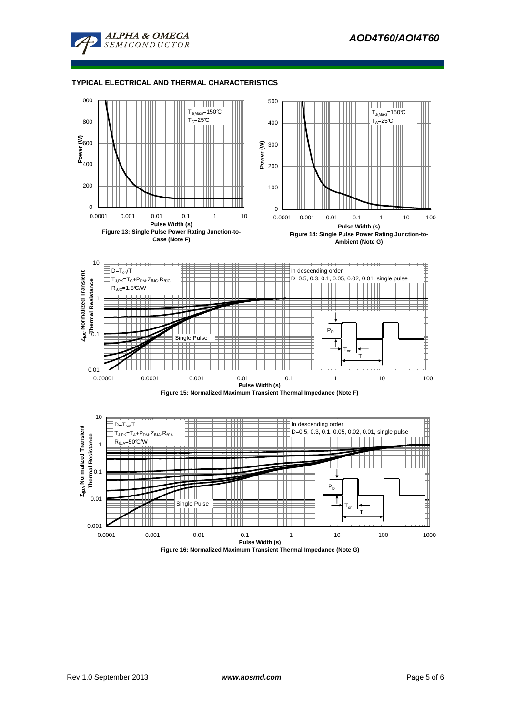

#### **TYPICAL ELECTRICAL AND THERMAL CHARACTERISTICS**